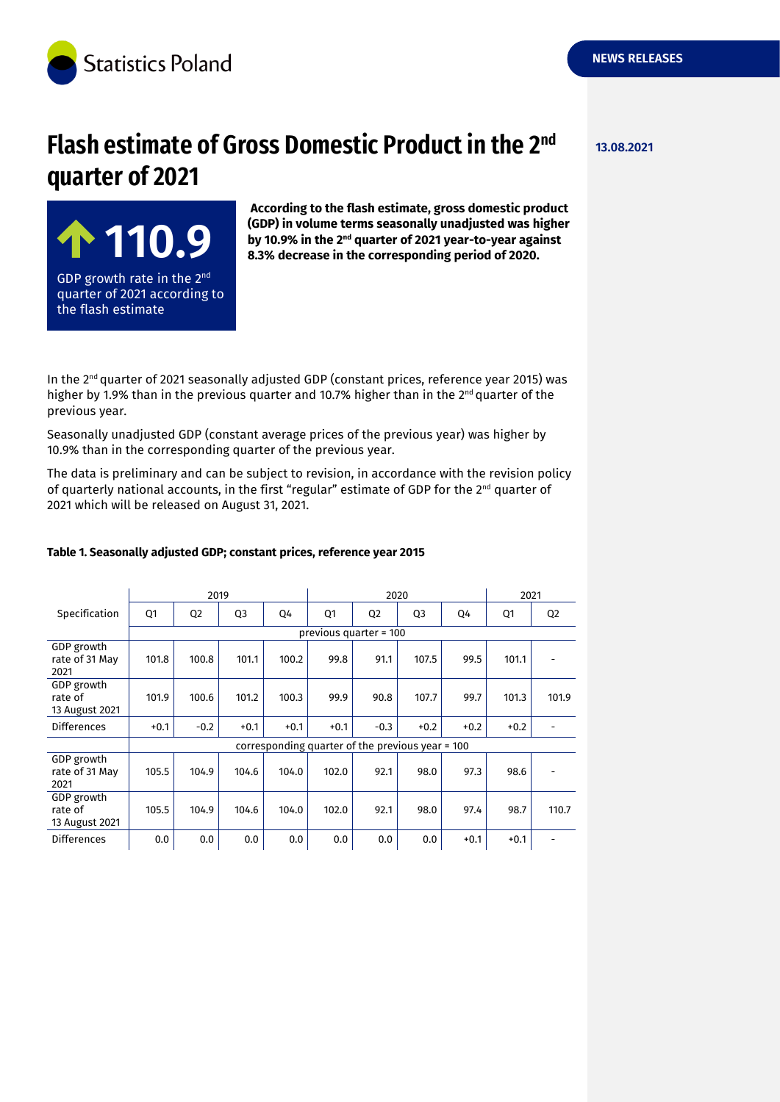

GDP growth rate in the 2<sup>nd</sup> quarter of 2021 according to

the flash estimate

**110.9**

# **Flash estimate of Gross Domestic Product in the 2<sup>nd</sup> allows:2021 quarter of 2021**

**According to the flash estimate, gross domestic product (GDP) in volume terms seasonally unadjusted was higher** by 10.9% in the 2<sup>nd</sup> quarter of 2021 year-to-year against **8.3% decrease in the corresponding period of 2020.**

In the 2<sup>nd</sup> quarter of 2021 seasonally adjusted GDP (constant prices, reference year 2015) was higher by 1.9% than in the previous quarter and 10.7% higher than in the  $2<sup>nd</sup>$  quarter of the previous year.

Seasonally unadjusted GDP (constant average prices of the previous year) was higher by 10.9% than in the corresponding quarter of the previous year.

The data is preliminary and can be subject to revision, in accordance with the revision policy of quarterly national accounts, in the first "regular" estimate of GDP for the 2<sup>nd</sup> quarter of 2021 which will be released on August 31, 2021.

#### Specification 2019 2020 2021 Q1 Q2 Q3 Q4 Q1 Q2 Q3 Q4 Q1 Q2 previous quarter = 100 GDP growth rate of 31 May 2021 101.8 100.8 101.1 100.2 99.8 91.1 107.5 99.5 101.1 - GDP growth rate of 13 August 2021 101.9 | 100.6 | 101.2 | 100.3 | 99.9 | 90.8 | 107.7 | 99.7 | 101.3 | 101.9 Differences  $+0.1$   $-0.2$   $+0.1$   $+0.1$   $+0.1$   $-0.3$   $+0.2$   $+0.2$   $+0.2$ corresponding quarter of the previous year = 100 GDP growth rate of 31 May 2021 105.5 | 104.9 | 104.6 | 104.0 | 102.0 | 92.1 | 98.0 | 97.3 | 98.6 | -GDP growth rate of 13 August 2021 105.5 104.9 104.6 104.0 102.0 92.1 98.0 97.4 98.7 110.7 Differences | 0.0 | 0.0 | 0.0 | 0.0 | 0.0 | 0.0 | 0.0 | +0.1 | -

### **Table 1. Seasonally adjusted GDP; constant prices, reference year 2015**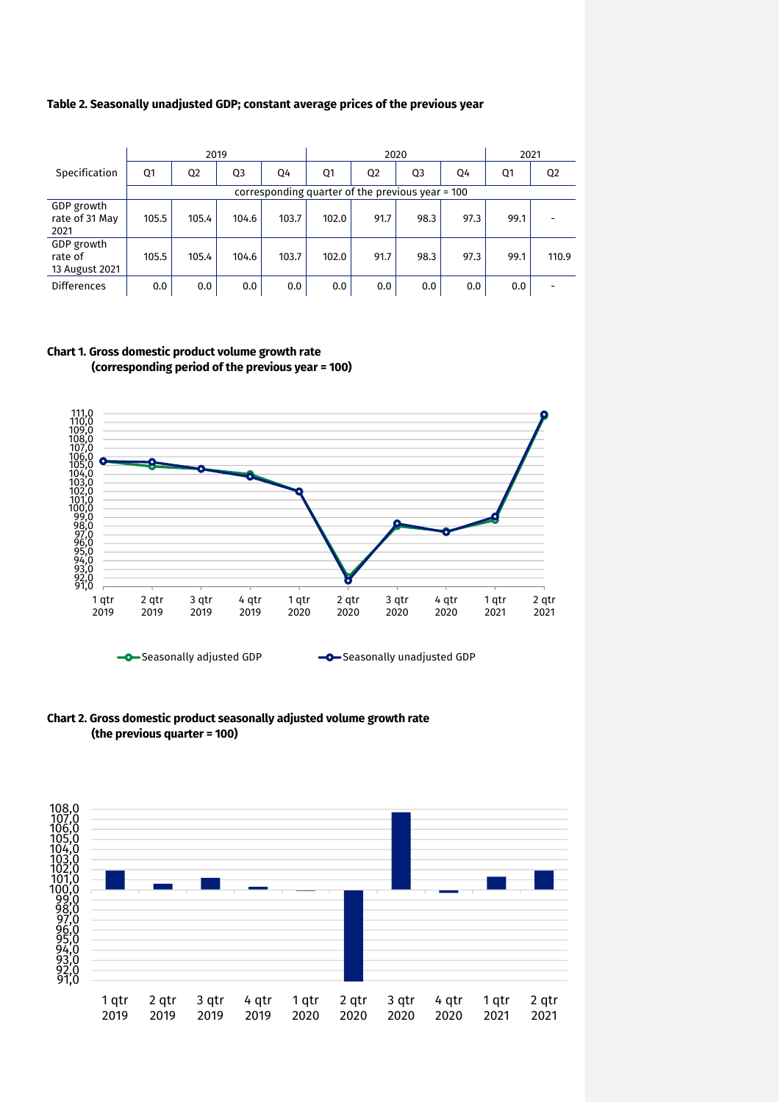### **Table 2. Seasonally unadjusted GDP; constant average prices of the previous year**

|                                         | 2019                                               |                |                |       | 2020  |                |                |      | 2021 |                |
|-----------------------------------------|----------------------------------------------------|----------------|----------------|-------|-------|----------------|----------------|------|------|----------------|
| Specification                           | Q1                                                 | Q <sub>2</sub> | Q <sub>3</sub> | 04    | Q1    | Q <sub>2</sub> | Q <sub>3</sub> | 04   | Q1   | Q <sub>2</sub> |
|                                         | corresponding quarter of the previous year $=$ 100 |                |                |       |       |                |                |      |      |                |
| GDP growth<br>rate of 31 May<br>2021    | 105.5                                              | 105.4          | 104.6          | 103.7 | 102.0 | 91.7           | 98.3           | 97.3 | 99.1 |                |
| GDP growth<br>rate of<br>13 August 2021 | 105.5                                              | 105.4          | 104.6          | 103.7 | 102.0 | 91.7           | 98.3           | 97.3 | 99.1 | 110.9          |
| <b>Differences</b>                      | 0.0                                                | 0.0            | 0.0            | 0.0   | 0.0   | 0.0            | 0.0            | 0.0  | 0.0  |                |

## **Chart 1. Gross domestic product volume growth rate (corresponding period of the previous year = 100)**



**Chart 2. Gross domestic product seasonally adjusted volume growth rate (the previous quarter = 100)**